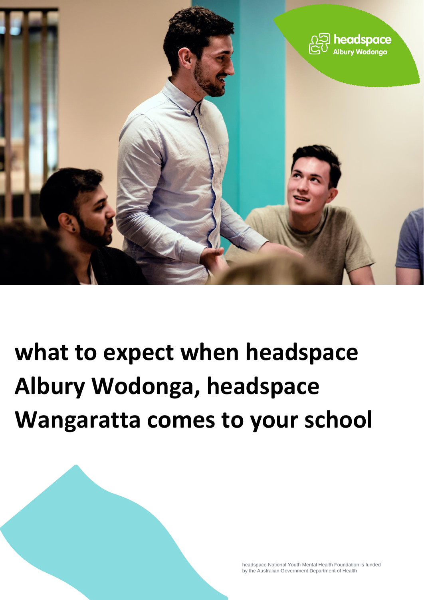

# **what to expect when headspace Albury Wodonga, headspace Wangaratta comes to your school**

headspace National Youth Mental Health Foundation is funded by the Australian Government Department of Health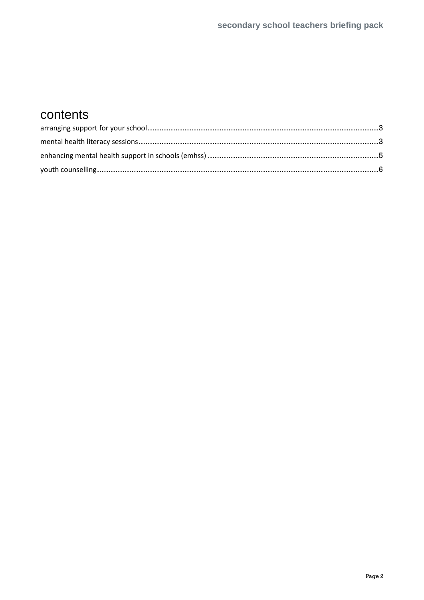## contents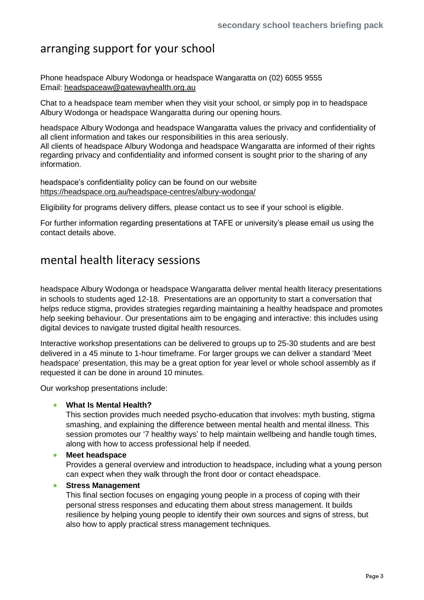## <span id="page-2-0"></span>arranging support for your school

Phone headspace Albury Wodonga or headspace Wangaratta on (02) 6055 9555 Email: [headspaceaw@gatewayhealth.org.au](mailto:headspaceaw@gatewayhealth.org.au)

Chat to a headspace team member when they visit your school, or simply pop in to headspace Albury Wodonga or headspace Wangaratta during our opening hours.

headspace Albury Wodonga and headspace Wangaratta values the privacy and confidentiality of all client information and takes our responsibilities in this area seriously.

All clients of headspace Albury Wodonga and headspace Wangaratta are informed of their rights regarding privacy and confidentiality and informed consent is sought prior to the sharing of any information.

headspace's confidentiality policy can be found on our website <https://headspace.org.au/headspace-centres/albury-wodonga/>

Eligibility for programs delivery differs, please contact us to see if your school is eligible.

For further information regarding presentations at TAFE or university's please email us using the contact details above.

## <span id="page-2-1"></span>mental health literacy sessions

headspace Albury Wodonga or headspace Wangaratta deliver mental health literacy presentations in schools to students aged 12-18. Presentations are an opportunity to start a conversation that helps reduce stigma, provides strategies regarding maintaining a healthy headspace and promotes help seeking behaviour. Our presentations aim to be engaging and interactive: this includes using digital devices to navigate trusted digital health resources.

Interactive workshop presentations can be delivered to groups up to 25-30 students and are best delivered in a 45 minute to 1-hour timeframe. For larger groups we can deliver a standard 'Meet headspace' presentation, this may be a great option for year level or whole school assembly as if requested it can be done in around 10 minutes.

Our workshop presentations include:

#### • **What Is Mental Health?**

This section provides much needed psycho-education that involves: myth busting, stigma smashing, and explaining the difference between mental health and mental illness. This session promotes our '7 healthy ways' to help maintain wellbeing and handle tough times, along with how to access professional help if needed.

#### • **Meet headspace**

Provides a general overview and introduction to headspace, including what a young person can expect when they walk through the front door or contact eheadspace.

#### • **Stress Management**

This final section focuses on engaging young people in a process of coping with their personal stress responses and educating them about stress management. It builds resilience by helping young people to identify their own sources and signs of stress, but also how to apply practical stress management techniques.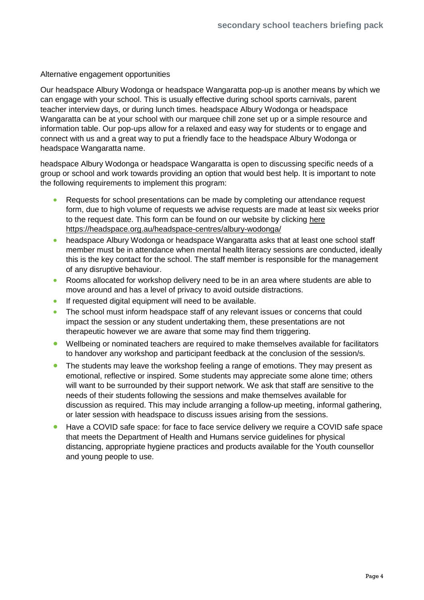#### Alternative engagement opportunities

Our headspace Albury Wodonga or headspace Wangaratta pop-up is another means by which we can engage with your school. This is usually effective during school sports carnivals, parent teacher interview days, or during lunch times. headspace Albury Wodonga or headspace Wangaratta can be at your school with our marquee chill zone set up or a simple resource and information table. Our pop-ups allow for a relaxed and easy way for students or to engage and connect with us and a great way to put a friendly face to the headspace Albury Wodonga or headspace Wangaratta name.

headspace Albury Wodonga or headspace Wangaratta is open to discussing specific needs of a group or school and work towards providing an option that would best help. It is important to note the following requirements to implement this program:

- Requests for school presentations can be made by completing our attendance request form, due to high volume of requests we advise requests are made at least six weeks prior to the request date. This form can be found on our website by clicking [here](https://headspace.org.au/headspace-centres/albury-wodonga/) <https://headspace.org.au/headspace-centres/albury-wodonga/>
- headspace Albury Wodonga or headspace Wangaratta asks that at least one school staff member must be in attendance when mental health literacy sessions are conducted, ideally this is the key contact for the school. The staff member is responsible for the management of any disruptive behaviour.
- Rooms allocated for workshop delivery need to be in an area where students are able to move around and has a level of privacy to avoid outside distractions.
- If requested digital equipment will need to be available.
- The school must inform headspace staff of any relevant issues or concerns that could impact the session or any student undertaking them, these presentations are not therapeutic however we are aware that some may find them triggering.
- Wellbeing or nominated teachers are required to make themselves available for facilitators to handover any workshop and participant feedback at the conclusion of the session/s.
- The students may leave the workshop feeling a range of emotions. They may present as emotional, reflective or inspired. Some students may appreciate some alone time; others will want to be surrounded by their support network. We ask that staff are sensitive to the needs of their students following the sessions and make themselves available for discussion as required. This may include arranging a follow-up meeting, informal gathering, or later session with headspace to discuss issues arising from the sessions.
- Have a COVID safe space: for face to face service delivery we require a COVID safe space that meets the Department of Health and Humans service guidelines for physical distancing, appropriate hygiene practices and products available for the Youth counsellor and young people to use.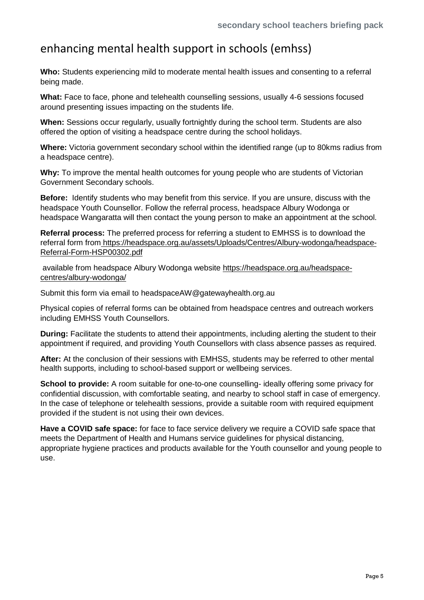## <span id="page-4-0"></span>enhancing mental health support in schools (emhss)

**Who:** Students experiencing mild to moderate mental health issues and consenting to a referral being made.

**What:** Face to face, phone and telehealth counselling sessions, usually 4-6 sessions focused around presenting issues impacting on the students life.

**When:** Sessions occur regularly, usually fortnightly during the school term. Students are also offered the option of visiting a headspace centre during the school holidays.

**Where:** Victoria government secondary school within the identified range (up to 80kms radius from a headspace centre).

**Why:** To improve the mental health outcomes for young people who are students of Victorian Government Secondary schools.

**Before:** Identify students who may benefit from this service. If you are unsure, discuss with the headspace Youth Counsellor. Follow the referral process, headspace Albury Wodonga or headspace Wangaratta will then contact the young person to make an appointment at the school.

**Referral process:** The preferred process for referring a student to EMHSS is to download the [referral form](https://headspace.org.au/assets/Uploads/Centres/Albury-wodonga/headspace-Referral-Form-V5.pdf) from https://headspace.org.au/assets/Uploads/Centres/Albury-wodonga/headspace-Referral-Form-HSP00302.pdf

available from headspace Albury Wodonga website [https://headspace.org.au/headspace](https://headspace.org.au/headspace-centres/albury-wodonga/)[centres/albury-wodonga/](https://headspace.org.au/headspace-centres/albury-wodonga/)

Submit this form via email to [headspaceAW@gatewayhealth.org.au](mailto:headspaceAW@gatewayhealth.org.au)

Physical copies of referral forms can be obtained from headspace centres and outreach workers including EMHSS Youth Counsellors.

**During:** Facilitate the students to attend their appointments, including alerting the student to their appointment if required, and providing Youth Counsellors with class absence passes as required.

**After:** At the conclusion of their sessions with EMHSS, students may be referred to other mental health supports, including to school-based support or wellbeing services.

**School to provide:** A room suitable for one-to-one counselling- ideally offering some privacy for confidential discussion, with comfortable seating, and nearby to school staff in case of emergency. In the case of telephone or telehealth sessions, provide a suitable room with required equipment provided if the student is not using their own devices.

**Have a COVID safe space:** for face to face service delivery we require a COVID safe space that meets the Department of Health and Humans service guidelines for physical distancing, appropriate hygiene practices and products available for the Youth counsellor and young people to use.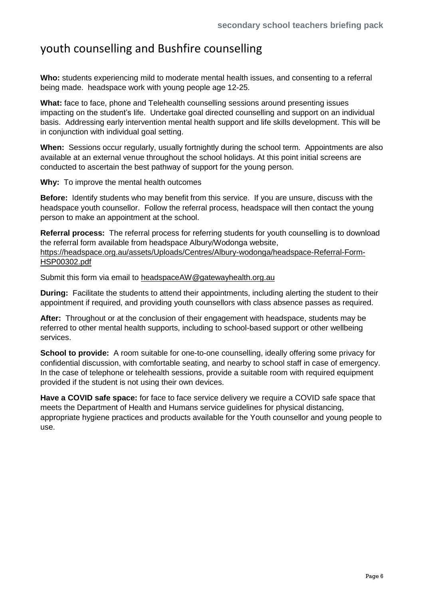## <span id="page-5-0"></span>youth counselling and Bushfire counselling

**Who:** students experiencing mild to moderate mental health issues, and consenting to a referral being made. headspace work with young people age 12-25.

**What:** face to face, phone and Telehealth counselling sessions around presenting issues impacting on the student's life. Undertake goal directed counselling and support on an individual basis. Addressing early intervention mental health support and life skills development. This will be in conjunction with individual goal setting.

**When:** Sessions occur regularly, usually fortnightly during the school term. Appointments are also available at an external venue throughout the school holidays. At this point initial screens are conducted to ascertain the best pathway of support for the young person.

**Why:** To improve the mental health outcomes

**Before:** Identify students who may benefit from this service. If you are unsure, discuss with the headspace youth counsellor. Follow the referral process, headspace will then contact the young person to make an appointment at the school.

**Referral process:** The referral process for referring students for youth counselling is to download the referral form available from headspace Albury/Wodonga website, [https://headspace.org.au/assets/Uploads/Centres/Albury-wodonga/headspace-Referral-Form-](https://headspace.org.au/assets/Uploads/Centres/Albury-wodonga/headspace-Referral-Form-HSP00302.pdf)[HSP00302.pdf](https://headspace.org.au/assets/Uploads/Centres/Albury-wodonga/headspace-Referral-Form-HSP00302.pdf)

Submit this form via email to [headspaceAW@gatewayhealth.org.au](mailto:headspaceAW@gatewayhealth.org.au)

**During:** Facilitate the students to attend their appointments, including alerting the student to their appointment if required, and providing youth counsellors with class absence passes as required.

**After:** Throughout or at the conclusion of their engagement with headspace, students may be referred to other mental health supports, including to school-based support or other wellbeing services.

**School to provide:** A room suitable for one-to-one counselling, ideally offering some privacy for confidential discussion, with comfortable seating, and nearby to school staff in case of emergency. In the case of telephone or telehealth sessions, provide a suitable room with required equipment provided if the student is not using their own devices.

**Have a COVID safe space:** for face to face service delivery we require a COVID safe space that meets the Department of Health and Humans service guidelines for physical distancing, appropriate hygiene practices and products available for the Youth counsellor and young people to use.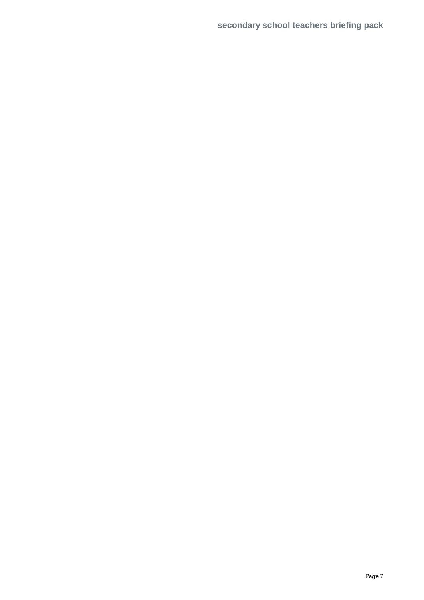**secondary school teachers briefing pack**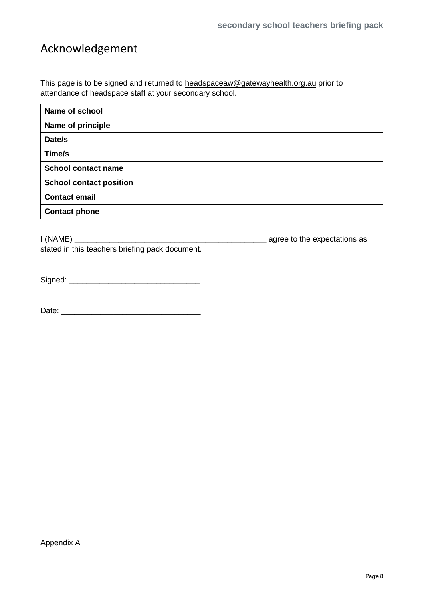## Acknowledgement

This page is to be signed and returned to [headspaceaw@gatewayhealth.org.au](mailto:headspaceaw@gatewayhealth.org.au) prior to attendance of headspace staff at your secondary school.

| Name of school                 |  |
|--------------------------------|--|
| Name of principle              |  |
| Date/s                         |  |
| Time/s                         |  |
| <b>School contact name</b>     |  |
| <b>School contact position</b> |  |
| <b>Contact email</b>           |  |
| <b>Contact phone</b>           |  |

I (NAME) \_\_\_\_\_\_\_\_\_\_\_\_\_\_\_\_\_\_\_\_\_\_\_\_\_\_\_\_\_\_\_\_\_\_\_\_\_\_\_\_\_\_\_\_ agree to the expectations as stated in this teachers briefing pack document.

Signed: \_\_\_\_\_\_\_\_\_\_\_\_\_\_\_\_\_\_\_\_\_\_\_\_\_\_\_\_\_\_

Date: \_\_\_\_\_\_\_\_\_\_\_\_\_\_\_\_\_\_\_\_\_\_\_\_\_\_\_\_\_\_\_\_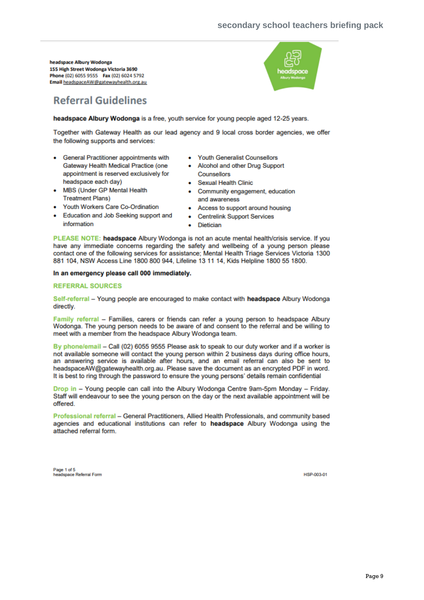headspace Albury Wodonga 155 High Street Wodonga Victoria 3690 Phone (02) 6055 9555 Fax (02) 6024 5792 Email headspaceAW@gatewayhealth.org.au





headspace Albury Wodonga is a free, youth service for young people aged 12-25 years.

Together with Gateway Health as our lead agency and 9 local cross border agencies, we offer the following supports and services:

- General Practitioner appointments with Gateway Health Medical Practice (one appointment is reserved exclusively for headspace each day)
- MBS (Under GP Mental Health **Treatment Plans)**
- Youth Workers Care Co-Ordination
- Education and Job Seeking support and information
- Youth Generalist Counsellors
- Alcohol and other Drug Support Counsellors
- Sexual Health Clinic
- Community engagement, education and awareness
- Access to support around housing
- **Centrelink Support Services**
- Dietician

PLEASE NOTE: headspace Albury Wodonga is not an acute mental health/crisis service. If you have any immediate concerns regarding the safety and wellbeing of a young person please contact one of the following services for assistance; Mental Health Triage Services Victoria 1300 881 104, NSW Access Line 1800 800 944, Lifeline 13 11 14, Kids Helpline 1800 55 1800.

#### In an emergency please call 000 immediately.

#### **REFERRAL SOURCES**

Self-referral - Young people are encouraged to make contact with headspace Albury Wodonga directly.

Family referral - Families, carers or friends can refer a young person to headspace Albury Wodonga. The young person needs to be aware of and consent to the referral and be willing to meet with a member from the headspace Albury Wodonga team.

By phone/email - Call (02) 6055 9555 Please ask to speak to our duty worker and if a worker is not available someone will contact the young person within 2 business days during office hours, an answering service is available after hours, and an email referral can also be sent to headspaceAW@gatewayhealth.org.au. Please save the document as an encrypted PDF in word. It is best to ring through the password to ensure the young persons' details remain confidential

Drop in - Young people can call into the Albury Wodonga Centre 9am-5pm Monday - Friday. Staff will endeavour to see the young person on the day or the next available appointment will be offered.

Professional referral - General Practitioners, Allied Health Professionals, and community based agencies and educational institutions can refer to headspace Albury Wodonga using the attached referral form.

Page 1 of 5 headspace Referral Form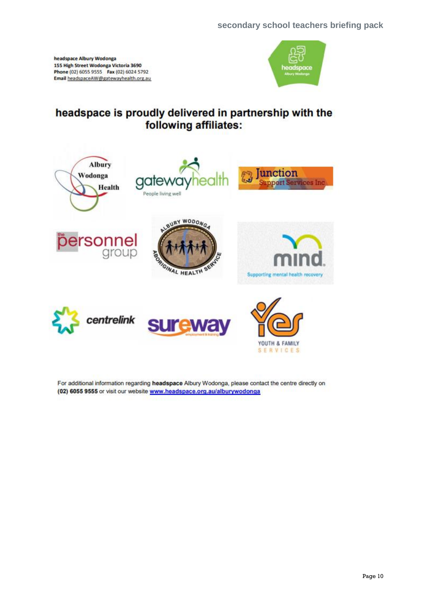headspace Albury Wodonga 155 High Street Wodonga Victoria 3690 Phone (02) 6055 9555 Fax (02) 6024 5792 Email headspaceAW@gatewayhealth.org.au



### headspace is proudly delivered in partnership with the following affiliates:



For additional information regarding headspace Albury Wodonga, please contact the centre directly on (02) 6055 9555 or visit our website www.headspace.org.au/alburywodonga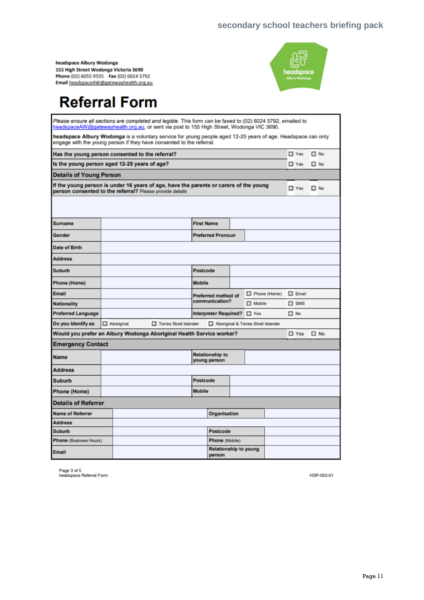headspace Albury Wodonga

155 High Street Wodonga Victoria 3690<br>Phone (02) 6055 9555 Fax (02) 6024 5792 Email headspaceAW@gatewayhealth.org.au



## **Referral Form**

| Please ensure all sections are completed and legible. This form can be faxed to (02) 6024 5792, emailed to<br><u>headspaceAW@qatewayhealth.org.au,</u> or sent via post to 155 High Street, Wodonga VIC 3690. |                                                                       |  |              |                                                            |                                        |  |               |  |      |               |              |  |
|---------------------------------------------------------------------------------------------------------------------------------------------------------------------------------------------------------------|-----------------------------------------------------------------------|--|--------------|------------------------------------------------------------|----------------------------------------|--|---------------|--|------|---------------|--------------|--|
| headspace Albury Wodonga is a voluntary service for young people aged 12-25 years of age. Headspace can only<br>engage with the young person if they have consented to the referral.                          |                                                                       |  |              |                                                            |                                        |  |               |  |      |               |              |  |
|                                                                                                                                                                                                               | □ Yes<br>$\Box$ No<br>Has the young person consented to the referral? |  |              |                                                            |                                        |  |               |  |      |               |              |  |
| Is the young person aged 12-25 years of age?                                                                                                                                                                  |                                                                       |  |              |                                                            |                                        |  |               |  |      | $\Box$ Yes    | $\Box$ No    |  |
| <b>Details of Young Person</b>                                                                                                                                                                                |                                                                       |  |              |                                                            |                                        |  |               |  |      |               |              |  |
| If the young person is under 16 years of age, have the parents or carers of the young<br>$\Box$ Yes<br>$\Box$ No<br>person consented to the referral? Please provide details                                  |                                                                       |  |              |                                                            |                                        |  |               |  |      |               |              |  |
|                                                                                                                                                                                                               |                                                                       |  |              |                                                            |                                        |  |               |  |      |               |              |  |
| Surname                                                                                                                                                                                                       |                                                                       |  |              | <b>First Name</b>                                          |                                        |  |               |  |      |               |              |  |
| Gender                                                                                                                                                                                                        |                                                                       |  |              |                                                            | <b>Preferred Pronoun</b>               |  |               |  |      |               |              |  |
| Date of Birth                                                                                                                                                                                                 |                                                                       |  |              |                                                            |                                        |  |               |  |      |               |              |  |
| <b>Address</b>                                                                                                                                                                                                |                                                                       |  |              |                                                            |                                        |  |               |  |      |               |              |  |
| <b>Suburb</b>                                                                                                                                                                                                 |                                                                       |  |              | Postcode                                                   |                                        |  |               |  |      |               |              |  |
| Phone (Home)                                                                                                                                                                                                  |                                                                       |  |              | <b>Mobile</b>                                              |                                        |  |               |  |      |               |              |  |
| Email                                                                                                                                                                                                         |                                                                       |  |              | Phone (Home)<br>$\Box$ Email<br><b>Preferred method of</b> |                                        |  |               |  |      |               |              |  |
| <b>Nationality</b>                                                                                                                                                                                            |                                                                       |  |              | communication?                                             |                                        |  | $\Box$ Mobile |  |      | $\square$ SMS |              |  |
| <b>Preferred Language</b>                                                                                                                                                                                     |                                                                       |  |              | Interpreter Required? I Yes                                |                                        |  |               |  | □ No |               |              |  |
| Do you Identify as<br>$\Box$ Aboriginal<br>Torres Strait Islander<br>Aboriginal & Torres Strait Islander                                                                                                      |                                                                       |  |              |                                                            |                                        |  |               |  |      |               |              |  |
| Would you prefer an Albury Wodonga Aboriginal Health Service worker?                                                                                                                                          |                                                                       |  |              |                                                            |                                        |  |               |  |      | $\Box$ Yes    | $\square$ No |  |
| <b>Emergency Contact</b>                                                                                                                                                                                      |                                                                       |  |              |                                                            |                                        |  |               |  |      |               |              |  |
| <b>Name</b>                                                                                                                                                                                                   |                                                                       |  |              |                                                            | <b>Relationship to</b><br>young person |  |               |  |      |               |              |  |
| <b>Address</b>                                                                                                                                                                                                |                                                                       |  |              |                                                            |                                        |  |               |  |      |               |              |  |
| Suburb                                                                                                                                                                                                        |                                                                       |  |              | Postcode                                                   |                                        |  |               |  |      |               |              |  |
| <b>Phone (Home)</b>                                                                                                                                                                                           |                                                                       |  |              | <b>Mobile</b>                                              |                                        |  |               |  |      |               |              |  |
| <b>Details of Referrer</b>                                                                                                                                                                                    |                                                                       |  |              |                                                            |                                        |  |               |  |      |               |              |  |
| <b>Name of Referrer</b>                                                                                                                                                                                       |                                                                       |  | Organisation |                                                            |                                        |  |               |  |      |               |              |  |
| <b>Address</b>                                                                                                                                                                                                |                                                                       |  |              |                                                            |                                        |  |               |  |      |               |              |  |
| <b>Suburb</b>                                                                                                                                                                                                 |                                                                       |  |              | Postcode                                                   |                                        |  |               |  |      |               |              |  |
| <b>Phone (Business Hours)</b>                                                                                                                                                                                 | Phone (Mobile)<br><b>Relationship to young</b>                        |  |              |                                                            |                                        |  |               |  |      |               |              |  |
| <b>Email</b>                                                                                                                                                                                                  | person                                                                |  |              |                                                            |                                        |  |               |  |      |               |              |  |

Page 3 of 5<br>headspace Referral Form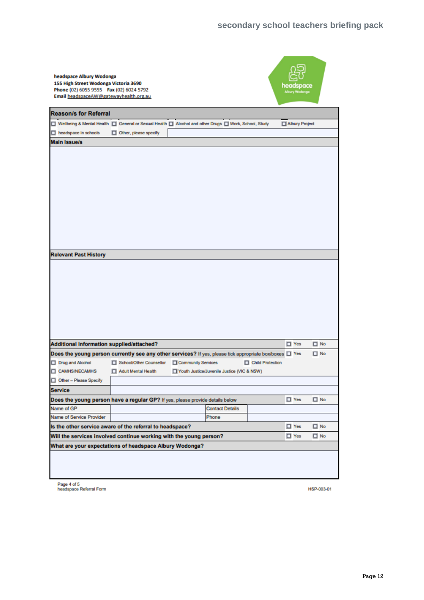| headspace Albury Wodonga<br>155 High Street Wodonga Victoria 3690<br>Phone (02) 6055 9555  Fax (02) 6024 5792<br>Email headspaceAW@gatewayhealth.org.au |                                                                                                         |                    |                        |                  | headspace<br>Albury Wedenge |              |
|---------------------------------------------------------------------------------------------------------------------------------------------------------|---------------------------------------------------------------------------------------------------------|--------------------|------------------------|------------------|-----------------------------|--------------|
| <b>Reason/s for Referral</b>                                                                                                                            |                                                                                                         |                    |                        |                  |                             |              |
|                                                                                                                                                         | □ Wellbeing & Mental Health □ General or Sexual Health □ Alcohol and other Drugs □ Work, School, Study  |                    |                        |                  | Albury Project              |              |
| $\Box$ headspace in schools                                                                                                                             | Other, please specify                                                                                   |                    |                        |                  |                             |              |
| <b>Main Issue/s</b>                                                                                                                                     |                                                                                                         |                    |                        |                  |                             |              |
| <b>Relevant Past History</b>                                                                                                                            |                                                                                                         |                    |                        |                  |                             |              |
| <b>Additional Information supplied/attached?</b>                                                                                                        |                                                                                                         |                    |                        |                  | $\Box$ Yes                  | $\square$ No |
|                                                                                                                                                         | Does the young person currently see any other services? If yes, please tick appropriate box/boxes [ Yes |                    |                        |                  |                             | $\Box$ No    |
| Drug and Alcohol                                                                                                                                        | School/Other Counsellor                                                                                 | Community Services |                        | Child Protection |                             |              |
| CAMHS/NECAMHS                                                                                                                                           | Adult Mental Health<br>Youth Justice/Juvenile Justice (VIC & NSW)                                       |                    |                        |                  |                             |              |
| Other - Please Specify                                                                                                                                  |                                                                                                         |                    |                        |                  |                             |              |
| Service                                                                                                                                                 |                                                                                                         |                    |                        |                  |                             |              |
|                                                                                                                                                         | Does the young person have a regular GP? If yes, please provide details below                           |                    |                        |                  | $\Box$ Yes                  | $\Box$ No    |
| Name of GP                                                                                                                                              |                                                                                                         |                    | <b>Contact Details</b> |                  |                             |              |
| Name of Service Provider                                                                                                                                |                                                                                                         |                    | Phone                  |                  |                             |              |
| Is the other service aware of the referral to headspace?                                                                                                |                                                                                                         |                    |                        |                  |                             | $\Box$ No    |
| Will the services involved continue working with the young person?                                                                                      |                                                                                                         |                    |                        |                  | $\Box$ Yes                  | $\Box$ No    |
| What are your expectations of headspace Albury Wodonga?                                                                                                 |                                                                                                         |                    |                        |                  |                             |              |
|                                                                                                                                                         |                                                                                                         |                    |                        |                  |                             |              |

Page 4 of 5<br>headspace Referral Form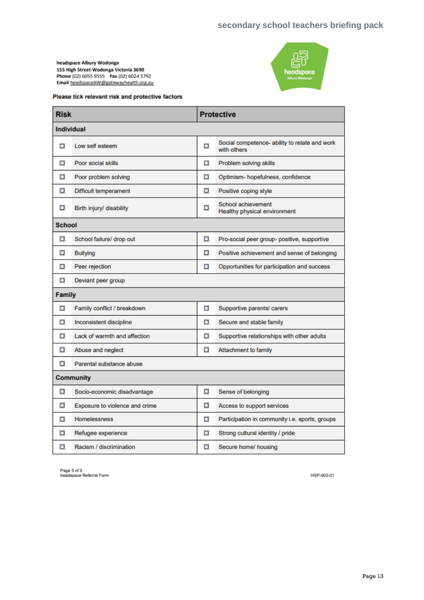#### headspace Albury Wodonga

155 High Street Wodonga Victoria 3690<br>Phone (02) 6055 9555 Fax (02) 6024 5792 Email headspaceAW@gatewayhealth.org.au



|  |  | Please tick relevant risk and protective factors |  |
|--|--|--------------------------------------------------|--|
|  |  |                                                  |  |

| <b>Risk</b>      |                                |   | <b>Protective</b>                                            |  |  |  |  |
|------------------|--------------------------------|---|--------------------------------------------------------------|--|--|--|--|
|                  | <b>Individual</b>              |   |                                                              |  |  |  |  |
| □                | Low self esteem                | □ | Social competence- ability to relate and work<br>with others |  |  |  |  |
| □                | Poor social skills             | □ | Problem solving skills                                       |  |  |  |  |
| о                | Poor problem solving           | □ | Optimism-hopefulness, confidence                             |  |  |  |  |
| □                | Difficult temperament          | □ | Positive coping style                                        |  |  |  |  |
| □                | Birth injury/ disability       | □ | School achievement<br>Healthy physical environment           |  |  |  |  |
| <b>School</b>    |                                |   |                                                              |  |  |  |  |
| □                | School failure/ drop out       | □ | Pro-social peer group- positive, supportive                  |  |  |  |  |
| □                | <b>Bullying</b>                | □ | Positive achievement and sense of belonging                  |  |  |  |  |
| □                | Peer rejection                 | □ | Opportunities for participation and success                  |  |  |  |  |
| □                | Deviant peer group             |   |                                                              |  |  |  |  |
|                  | <b>Family</b>                  |   |                                                              |  |  |  |  |
| □                | Family conflict / breakdown    | □ | Supportive parents/ carers                                   |  |  |  |  |
| □                | Inconsistent discipline        | □ | Secure and stable family                                     |  |  |  |  |
| □                | Lack of warmth and affection   | □ | Supportive relationships with other adults                   |  |  |  |  |
| □                | Abuse and neglect              | □ | Attachment to family                                         |  |  |  |  |
| □                | Parental substance abuse       |   |                                                              |  |  |  |  |
| <b>Community</b> |                                |   |                                                              |  |  |  |  |
| □                | Socio-economic disadvantage    | □ | Sense of belonging                                           |  |  |  |  |
| □                | Exposure to violence and crime | □ | Access to support services                                   |  |  |  |  |
| □                | <b>Homelessness</b>            | □ | Participation in community i.e. sports, groups               |  |  |  |  |
| □                | Refugee experience             | □ | Strong cultural identity / pride                             |  |  |  |  |
| □                | Racism / discrimination        | □ | Secure home/ housing                                         |  |  |  |  |

Page 5 of 5<br>headspace Referral Form